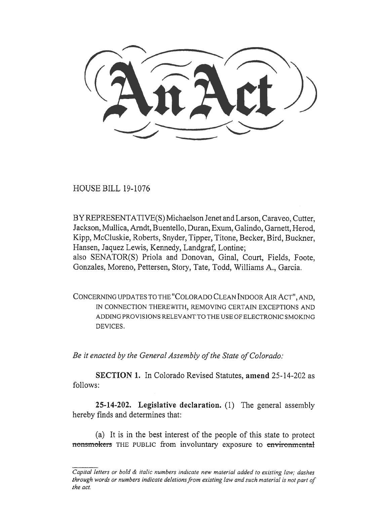HOUSE BILL 19-1076

BY REPRESENTATIVE(S) Michaelson Jenet and Larson, Caraveo, Cutter, Jackson, Mullica, Arndt, Buentello, Duran, Exum, Galindo, Garnett, Herod, Kipp, McCluskie, Roberts, Snyder, Tipper, Titone, Becker, Bird, Buckner, Hansen, Jaquez Lewis, Kennedy, Landgraf, Lontine; also SENATOR(S) Priola and Donovan, Ginal, Court, Fields, Foote, Gonzales, Moreno, Pettersen, Story, Tate, Todd, Williams A., Garcia.

CONCERNING UPDATES TO THE "COLORADO CLEAN INDOOR AIR ACT", AND, IN CONNECTION THEREWITH, REMOVING CERTAIN EXCEPTIONS AND ADDING PROVISIONS RELEVANT TO THE USE OF ELECTRONIC SMOKING DEVICES.

*Be it enacted by the General Assembly of the State of Colorado:* 

**SECTION 1.** In Colorado Revised Statutes, **amend** 25-14-202 as follows:

**25-14-202. Legislative declaration.** (1) The general assembly hereby finds and determines that:

(a) It is in the best interest of the people of this state to protect nonsmokers THE PUBLIC from involuntary exposure to environmental

*Capital letters or bold & italic numbers indicate new material added to existing law; dashes through words or numbers indicate deletions from existing law and such material is not part of the act.*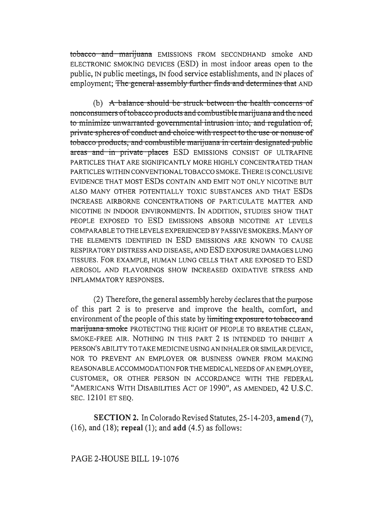tobacco and marijuana EMISSIONS FROM SECONDHAND smoke AND ELECTRONIC SMOKING DEVICES (ESD) in most indoor areas open to the public, IN public meetings, IN food service establishments, and IN places of employment; The general assembly further finds and determines that AND

(b) A balance should be struck between the health concerns of nonconsumers of tobacco products and combustible marijuana and the need to minimize unwarranted governmental intrusion into, and regulation of, private spheres of conduct and choice with respect to the use or nonuse of tobacco products, and combustible marijuana in certain designated public areas and in private places ESD EMISSIONS CONSIST OF ULTRAFINE PARTICLES THAT ARE SIGNIFICANTLY MORE HIGHLY CONCENTRATED THAN PARTICLES WITHIN CONVENTIONAL TOBACCO SMOKE. THERE IS CONCLUSIVE EVIDENCE THAT MOST ESDS CONTAIN AND EMIT NOT ONLY NICOTINE BUT ALSO MANY OTHER POTENTIALLY TOXIC SUBSTANCES AND THAT ESDS INCREASE AIRBORNE CONCENTRATIONS OF PARTICULATE MATTER AND NICOTINE IN INDOOR ENVIRONMENTS. IN ADDITION, STUDIES SHOW THAT PEOPLE EXPOSED TO ESD EMISSIONS ABSORB NICOTINE AT LEVELS COMPARABLE TO THE LEVELS EXPERIENCED BY PASSIVE SMOKERS, MANY OF THE ELEMENTS IDENTIFIED IN ESD EMISSIONS ARE KNOWN TO CAUSE RESPIRATORY DISTRESS AND DISEASE, AND ESD EXPOSURE DAMAGES LUNG TISSUES. FOR EXAMPLE, HUMAN LUNG CELLS THAT ARE EXPOSED TO ESD AEROSOL AND FLAVORINGS SHOW INCREASED OXIDATIVE STRESS AND **INFLAMMATORY RESPONSES.** 

(2) Therefore, the general assembly hereby declares that the purpose of this part 2 is to preserve and improve the health, comfort, and environment of the people of this state by limiting exposure to tobacco and marijuana smoke PROTECTING THE RIGHT OF PEOPLE TO BREATHE CLEAN, SMOKE-FREE AIR. NOTHING IN THIS PART 2 IS INTENDED TO INHIBIT A PERSON'S ABILITY TO TAKE MEDICINE USING AN INHALER OR SIMILAR DEVICE, NOR TO PREVENT AN EMPLOYER OR BUSINESS OWNER FROM MAKING REASONABLE ACCOMMODATION FOR THE MEDICAL NEEDS OF AN EMPLOYEE, CUSTOMER, OR OTHER PERSON IN ACCORDANCE WITH THE FEDERAL "AMERICANS WITH DISABILITIES ACT OF 1990", AS AMENDED, 42 U.S.C. SEC. 12101 ET SEO.

**SECTION 2.** In Colorado Revised Statutes, 25-14-203, amend (7),  $(16)$ , and  $(18)$ ; repeal  $(1)$ ; and add  $(4.5)$  as follows: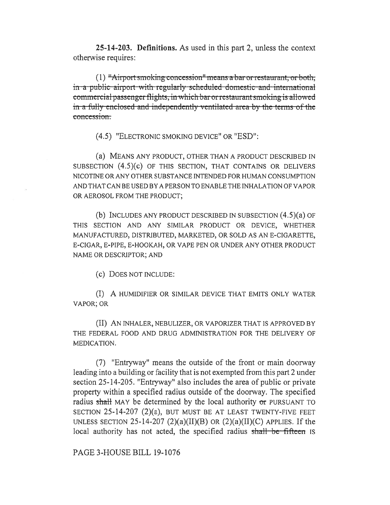**25-14-203. Definitions.** As used in this part 2, unless the context otherwise requires:

(1) "Airport smoking concession" means a bar or restaurant, or both, in a public airport with regularly scheduled domestic and international commercial passenger flights, in which bar or restaurant smoking is allowed in a fully enclosed and independently ventilated area by the terms of the concession.

(4.5) "ELECTRONIC SMOKING DEVICE" OR "ESD":

(a) MEANS ANY PRODUCT, OTHER THAN A PRODUCT DESCRIBED IN SUBSECTION (4.5)(c) OF THIS SECTION, THAT CONTAINS OR DELIVERS NICOTINE OR ANY OTHER SUBSTANCE INTENDED FOR HUMAN CONSUMPTION AND THAT CAN BE USED BY A PERSON TO ENABLE THE INHALATION OF VAPOR OR AEROSOL FROM THE PRODUCT;

(b) INCLUDES ANY PRODUCT DESCRIBED IN SUBSECTION (4.5)(a) OF THIS SECTION AND ANY SIMILAR PRODUCT OR DEVICE, WHETHER MANUFACTURED, DISTRIBUTED, MARKETED, OR SOLD AS AN E-CIGARETTE, E-CIGAR, E-PIPE, E-HOOKAH, OR VAPE PEN OR UNDER ANY OTHER PRODUCT NAME OR DESCRIPTOR; AND

(c) DOES NOT INCLUDE:

(I) A HUMIDIFIER OR SIMILAR DEVICE THAT EMITS ONLY WATER VAPOR; OR

(II) AN INHALER, NEBULIZER, OR VAPORIZER THAT IS APPROVED BY THE FEDERAL FOOD AND DRUG ADMINISTRATION FOR THE DELIVERY OF MEDICATION.

(7) "Entryway" means the outside of the front or main doorway leading into a building or facility that is not exempted from this part 2 under section 25-14-205. "Entryway" also includes the area of public or private property within a specified radius outside of the doorway. The specified radius shall MAY be determined by the local authority or PURSUANT TO SECTION 25-14-207 (2)(a), BUT MUST BE AT LEAST TWENTY-FIVE FEET UNLESS SECTION 25-14-207 (2)(a)(II)(B) OR (2)(a)(II)(C) APPLIES. If the local authority has not acted, the specified radius shall be fifteen Is

PAGE 3-HOUSE BILL 19-1076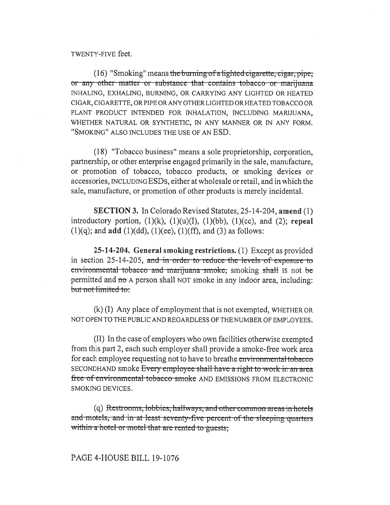## TWENTY-FIVE feet.

 $(16)$  "Smoking" means the burning of a lighted eigarette, eigar, pipe, or any other matter or substance that contains tobacco or marijuana INHALING, EXHALING, BURNING, OR CARRYING ANY LIGHTED OR HEATED CIGAR, CIGARETTE, OR PIPE OR ANY OTHER LIGHTED OR HEATED TOBACCO OR PLANT PRODUCT INTENDED FOR INHALATION, INCLUDING MARIJUANA, WHETHER NATURAL OR SYNTHETIC, IN ANY MANNER OR IN ANY FORM. "SMOKING" ALSO INCLUDES THE USE OF AN ESD.

(18) "Tobacco business" means a sole proprietorship, corporation, partnership, or other enterprise engaged primarily in the sale, manufacture, or promotion of tobacco, tobacco products, or smoking devices or accessories, INCLUDING ESDS, either at wholesale or retail, and in which the sale, manufacture, or promotion of other products is merely incidental.

**SECTION 3.** In Colorado Revised Statutes, 25-14-204, amend (1) introductory portion,  $(1)(k)$ ,  $(1)(u)(I)$ ,  $(1)(bb)$ ,  $(1)(cc)$ , and  $(2)$ ; repeal  $(1)(q)$ ; and **add**  $(1)(dd)$ ,  $(1)(ee)$ ,  $(1)(ff)$ , and  $(3)$  as follows:

25-14-204. General smoking restrictions. (1) Except as provided in section 25-14-205, and in order to reduce the levels of exposure to environmental tobacco and marijuana smoke, smoking shall is not be permitted and no A person shall NOT smoke in any indoor area, including: but not limited to:

 $(k)$  (I) Any place of employment that is not exempted, WHETHER OR NOT OPEN TO THE PUBLIC AND REGARDLESS OF THE NUMBER OF EMPLOYEES.

(II) In the case of employers who own facilities otherwise exempted from this part 2, each such employer shall provide a smoke-free work area for each employee requesting not to have to breathe environmental tobacco SECONDHAND smoke Every employee shall have a right to work in an area free of environmental tobacco smoke AND EMISSIONS FROM ELECTRONIC SMOKING DEVICES.

(q) Restrooms, lobbies, hallways, and other common areas in hotels and motels, and in at least seventy-five percent of the sleeping quarters within a hotel or motel that are rented to guests;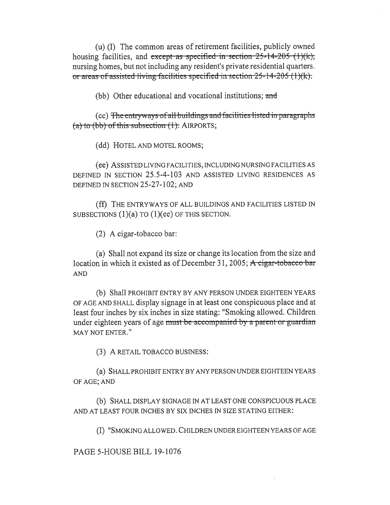(u) (I) The common areas of retirement facilities, publicly owned housing facilities, and except as specified in section  $25-14-205$  (1)(k), nursing homes, but not including any resident's private residential quarters. nursing nomes, out not incruding any resident s private residential quarters<br>or areas of assisted living facilities specified in section 25-14-205 (1)(k).

(bb) Other educational and vocational institutions; and

 $(cc)$  The entryways of all buildings and facilities listed in paragraphs  $(a)$  to (bb) of this subsection  $(1)$ . AIRPORTS;

(dd) HOTEL AND MOTEL ROOMS;

(ee) ASSISTED LIVING FACILITIES, INCLUDING NURSING FACILITIES AS DEFINED IN SECTION 25.5-4-103 AND ASSISTED LIVING RESIDENCES AS DEFINED IN SECTION 25-27-102; AND

(ff) THE ENTRYWAYS OF ALL BUILDINGS AND FACILITIES LISTED IN SUBSECTIONS (1)(a) TO (1)(ee) OF THIS SECTION.

(2) A cigar-tobacco bar:

(a) Shall not expand its size or change its location from the size and location in which it existed as of December 31, 2005; A cigar-tobacco bar AND

(b) Shall PROHIBIT ENTRY BY ANY PERSON UNDER EIGHTEEN YEARS OF AGE AND SHALL display signage in at least one conspicuous place and at least four inches by six inches in size stating: "Smoking allowed. Children under eighteen years of age must be accompanied by a parent-or-guardian MAY NOT ENTER."

(3) A RETAIL TOBACCO BUSINESS:

(a) SHALL PROHIBIT ENTRY BY ANY PERSON UNDER EIGHTEEN YEARS OF AGE; AND

(b) SHALL DISPLAY SIGNAGE IN AT LEAST ONE CONSPICUOUS PLACE AND AT LEAST FOUR INCHES BY SIX INCHES IN SIZE STATING EITHER:

(I) "SMOKING ALLOWED. CHILDREN UNDER EIGHTEEN YEARS OF AGE

PAGE 5-HOUSE BILL 19-1076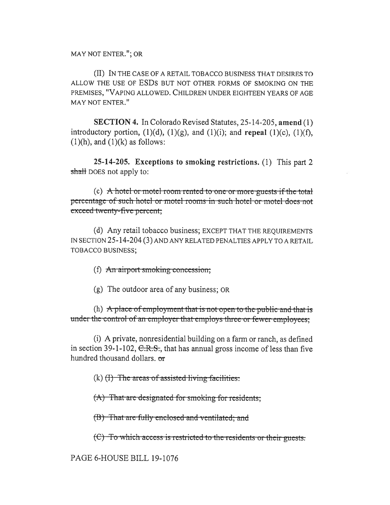MAY NOT ENTER."; OR

(II) IN THE CASE OF A RETAIL TOBACCO BUSINESS THAT DESIRES TO ALLOW THE USE OF ESDs BUT NOT OTHER FORMS OF SMOKING ON THE PREMISES, "VAPING ALLOWED. CHILDREN UNDER EIGHTEEN YEARS OF AGE MAY NOT ENTER."

**SECTION 4.** In Colorado Revised Statutes, 25-14-205, **amend** (1) introductory portion,  $(1)(d)$ ,  $(1)(g)$ , and  $(1)(i)$ ; and **repeal**  $(1)(c)$ ,  $(1)(f)$ ,  $(1)(h)$ , and  $(1)(k)$  as follows:

**25-14-205. Exceptions to smoking restrictions.** (1) This part 2 shall DOES not apply to:

(c) A hotel-or motel-room rented to one or more-guests if the total percentage of such hotel or motel rooms in such hotel or motel does not exceed twenty-five percent;

(d) Any retail tobacco business; EXCEPT THAT THE REQUIREMENTS IN SECTION 25-14-204 (3) AND ANY RELATED PENALTIES APPLY TO A RETAIL TOBACCO BUSINESS;

(f)  $An$  airport smoking concession;

(g) The outdoor area of any business; OR

(h)  $\overrightarrow{A}$  place of employment that is not-open to the public-and-that is under the control of an employer that employs three or fewer employees:

(i) A private, nonresidential building on a farm or ranch, as defined in section 39-1-102,  $C.R.S.$ , that has annual gross income of less than five hundred thousand dollars. or

 $(k)$  (H) The areas of assisted living-facilities:

) That are designated for smoking for residents;

(B) That are fully enclosed and ventilated; and

**(C)** To which access is restricted to the residents or their guests.

PAGE 6-HOUSE BILL 19-1076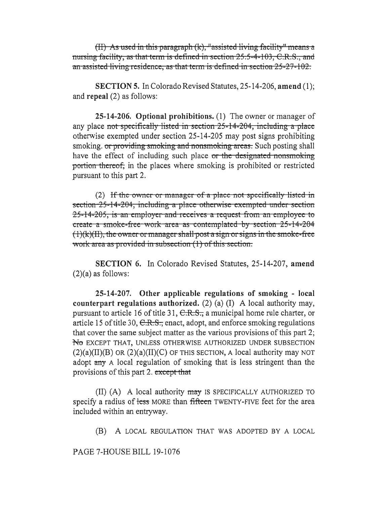(II) As used in this paragraph  $(k)$ , "assisted living facility" means a nursing facility, as that term is defined in section 25:5-4-103, C.R.S., and an assisted living residence, as that term is defined in section 25-27-102.

**SECTION 5.** In Colorado Revised Statutes, 25-14-206, amend (1); and repeal (2) as follows:

25-14-206. Optional prohibitions. (1) The owner or manager of any place not specifically listed in section 25-14-204, including a place otherwise exempted under section 25-14-205 may post signs prohibiting smoking. or providing smoking and nonsmoking areas. Such posting shall have the effect of including such place or the designated nonsmoking portion thereof, in the places where smoking is prohibited or restricted pursuant to this part 2.

(2) If the owner or manager of a place not specifically listed in section 25-14-204, including a place otherwise exempted under section 25-14-205; is an employer and receives a request from an employee to create a smoke-free work area as contemplated by section 25-14-204  $(1)(k)(H)$ , the owner or manager shall post a sign or signs in the smoke-free work area as provided in subsection (1) of this section.

**SECTION 6.** In Colorado Revised Statutes, 25-14-207, amend  $(2)(a)$  as follows:

25-14-207. Other applicable regulations of smoking - local counterpart regulations authorized. (2) (a)  $(I)$  A local authority may, pursuant to article 16 of title 31, C.R.S., a municipal home rule charter, or article 15 of title 30,  $C.R.S.$ ; enact, adopt, and enforce smoking regulations that cover the same subject matter as the various provisions of this part 2; No EXCEPT THAT, UNLESS OTHERWISE AUTHORIZED UNDER SUBSECTION  $(2)(a)(II)(B)$  OR  $(2)(a)(II)(C)$  OF THIS SECTION, A local authority may NOT adopt any A local regulation of smoking that is less stringent than the provisions of this part 2. except that

(II) (A) A local authority  $\frac{m}{xy}$  is specifically authorized to specify a radius of less MORE than fifteen TWENTY-FIVE feet for the area included within an entryway.

(B) A LOCAL REGULATION THAT WAS ADOPTED BY A LOCAL

PAGE 7-HOUSE BILL 19-1076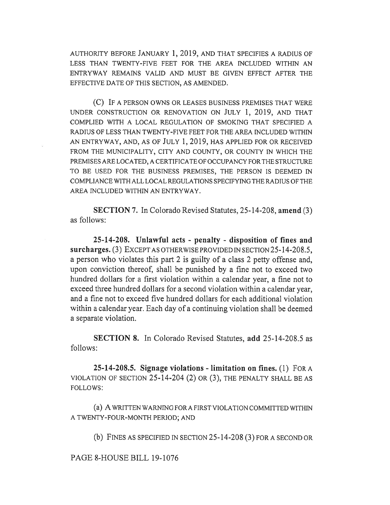AUTHORITY BEFORE JANUARY 1, 2019, AND THAT SPECIFIES A RADIUS OF LESS THAN TWENTY-FIVE FEET FOR THE AREA INCLUDED WITHIN AN ENTRYWAY REMAINS VALID AND MUST BE GIVEN EFFECT AFTER THE EFFECTIVE DATE OF THIS SECTION, AS AMENDED.

(C) IF A PERSON OWNS OR LEASES BUSINESS PREMISES THAT WERE UNDER CONSTRUCTION OR RENOVATION ON JULY 1, 2019, AND THAT COMPLIED WITH A LOCAL REGULATION OF SMOKING THAT SPECIFIED A RADIUS OF LESS THAN TWENTY-FIVE FEET FOR THE AREA INCLUDED WITHIN AN ENTRYWAY, AND, AS OF JULY 1, 2019, HAS APPLIED FOR OR RECEIVED FROM THE MUNICIPALITY, CITY AND COUNTY, OR COUNTY IN WHICH THE PREMISES ARE LOCATED, A CERTIFICATE OF OCCUPANCY FOR THE STRUCTURE TO BE USED FOR THE BUSINESS PREMISES, THE PERSON IS DEEMED IN COMPLIANCE WITH ALL LOCAL REGULATIONS SPECIFYING THE RADIUS OF THE AREA INCLUDED WITHIN AN ENTRYWAY.

**SECTION 7.** In Colorado Revised Statutes, 25-14-208, **amend** (3) as follows:

**25-14-208. Unlawful acts - penalty - disposition of fines and surcharges.** (3) EXCEPT AS OTHERWISE PROVIDED IN SECTION 25-14-208.5, a person who violates this part 2 is guilty of a class 2 petty offense and, upon conviction thereof, shall be punished by a fine not to exceed two hundred dollars for a first violation within a calendar year, a fine not to exceed three hundred dollars for a second violation within a calendar year, and a fine not to exceed five hundred dollars for each additional violation within a calendar year. Each day of a continuing violation shall be deemed a separate violation.

**SECTION 8.** In Colorado Revised Statutes, **add** 25-14-208.5 as follows:

**25-14-208.5. Signage violations - limitation on fines.** (1) FOR A VIOLATION OF SECTION 25-14-204 (2) OR (3), THE PENALTY SHALL BE AS FOLLOWS:

(a) A WRITTEN WARNING FOR A FIRST VIOLATION COMMITTED WITHIN A TWENTY-FOUR-MONTH PERIOD; AND

(b) FINES AS SPECIFIED IN SECTION 25-14-208 (3) FORA SECOND OR

PAGE 8-HOUSE BILL 19-1076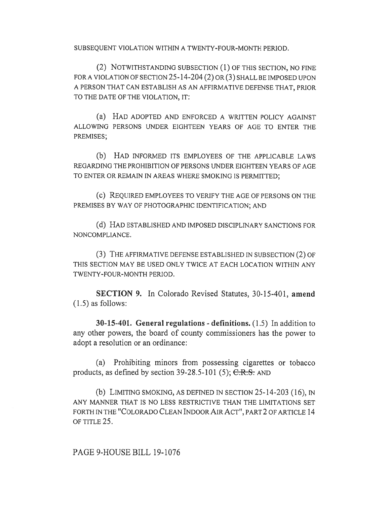SUBSEQUENT VIOLATION WITHIN A TWENTY-FOUR-MONTH PERIOD.

(2) NOTWITHSTANDING SUBSECTION (1) OF THIS SECTION, NO FINE FOR A VIOLATION OF SECTION 25-14-204 (2) OR (3) SHALL BE IMPOSED UPON A PERSON THAT CAN ESTABLISH AS AN AFFIRMATIVE DEFENSE THAT, PRIOR TO THE DATE OF THE VIOLATION, IT:

(a) HAD ADOPTED AND ENFORCED A WRITTEN POLICY AGAINST ALLOWING PERSONS UNDER EIGHTEEN YEARS OF AGE TO ENTER THE PREMISES;

(b) HAD INFORMED ITS EMPLOYEES OF THE APPLICABLE LAWS REGARDING THE PROHIBITION OF PERSONS UNDER EIGHTEEN YEARS OF AGE TO ENTER OR REMAIN IN AREAS WHERE SMOKING IS PERMITTED;

(c) REQUIRED EMPLOYEES TO VERIFY THE AGE OF PERSONS ON THE PREMISES BY WAY OF PHOTOGRAPHIC IDENTIFICATION; AND

(d) HAD ESTABLISHED AND IMPOSED DISCIPLINARY SANCTIONS FOR NONCOMPLIANCE.

(3) THE AFFIRMATIVE DEFENSE ESTABLISHED IN SUBSECTION (2) OF THIS SECTION MAY BE USED ONLY TWICE AT EACH LOCATION WITHIN ANY TWENTY-FOUR-MONTH PERIOD.

**SECTION 9.** In Colorado Revised Statutes, 30-15-401, **amend**  (1.5) as follows:

**30-15-401. General regulations - definitions.** (1.5) In addition to any other powers, the board of county commissioners has the power to adopt a resolution or an ordinance:

(a) Prohibiting minors from possessing cigarettes or tobacco products, as defined by section 39-28.5-101 (5);  $C.R.S.$  AND

(b) LIMITING SMOKING, AS DEFINED IN SECTION 25-14-203 (16), IN ANY MANNER THAT IS NO LESS RESTRICTIVE THAN THE LIMITATIONS SET FORTH IN THE "COLORADO CLEAN INDOOR AIR ACT", PART 2 OF ARTICLE 14 OF TITLE 25.